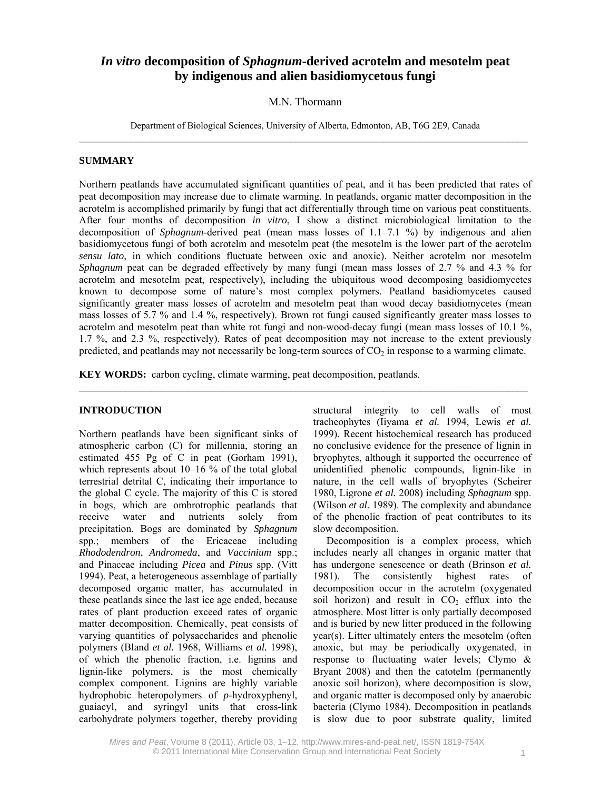# *In vitro* **decomposition of** *Sphagnum***-derived acrotelm and mesotelm peat by indigenous and alien basidiomycetous fungi**

## M.N. Thormann

Department of Biological Sciences, University of Alberta, Edmonton, AB, T6G 2E9, Canada

#### **SUMMARY**

Northern peatlands have accumulated significant quantities of peat, and it has been predicted that rates of peat decomposition may increase due to climate warming. In peatlands, organic matter decomposition in the acrotelm is accomplished primarily by fungi that act differentially through time on various peat constituents. After four months of decomposition *in vitro*, I show a distinct microbiological limitation to the decomposition of *Sphagnum*-derived peat (mean mass losses of 1.1–7.1 %) by indigenous and alien basidiomycetous fungi of both acrotelm and mesotelm peat (the mesotelm is the lower part of the acrotelm *sensu lato*, in which conditions fluctuate between oxic and anoxic). Neither acrotelm nor mesotelm *Sphagnum* peat can be degraded effectively by many fungi (mean mass losses of 2.7 % and 4.3 % for acrotelm and mesotelm peat, respectively), including the ubiquitous wood decomposing basidiomycetes known to decompose some of nature's most complex polymers. Peatland basidiomycetes caused significantly greater mass losses of acrotelm and mesotelm peat than wood decay basidiomycetes (mean mass losses of 5.7 % and 1.4 %, respectively). Brown rot fungi caused significantly greater mass losses to acrotelm and mesotelm peat than white rot fungi and non-wood-decay fungi (mean mass losses of 10.1 %, 1.7 %, and 2.3 %, respectively). Rates of peat decomposition may not increase to the extent previously predicted, and peatlands may not necessarily be long-term sources of  $CO<sub>2</sub>$  in response to a warming climate.

 $\mathcal{L}_\mathcal{L} = \{ \mathcal{L}_\mathcal{L} = \{ \mathcal{L}_\mathcal{L} = \{ \mathcal{L}_\mathcal{L} = \{ \mathcal{L}_\mathcal{L} = \{ \mathcal{L}_\mathcal{L} = \{ \mathcal{L}_\mathcal{L} = \{ \mathcal{L}_\mathcal{L} = \{ \mathcal{L}_\mathcal{L} = \{ \mathcal{L}_\mathcal{L} = \{ \mathcal{L}_\mathcal{L} = \{ \mathcal{L}_\mathcal{L} = \{ \mathcal{L}_\mathcal{L} = \{ \mathcal{L}_\mathcal{L} = \{ \mathcal{L}_\mathcal{$ 

**KEY WORDS:** carbon cycling, climate warming, peat decomposition, peatlands.

#### **INTRODUCTION**

Northern peatlands have been significant sinks of atmospheric carbon (C) for millennia, storing an estimated 455 Pg of C in peat (Gorham 1991), which represents about 10–16 % of the total global terrestrial detrital C, indicating their importance to the global C cycle. The majority of this C is stored in bogs, which are ombrotrophic peatlands that receive water and nutrients solely from precipitation. Bogs are dominated by *Sphagnum* spp.; members of the Ericaceae including *Rhododendron*, *Andromeda*, and *Vaccinium* spp.; and Pinaceae including *Picea* and *Pinus* spp. (Vitt 1994). Peat, a heterogeneous assemblage of partially decomposed organic matter, has accumulated in these peatlands since the last ice age ended, because rates of plant production exceed rates of organic matter decomposition. Chemically, peat consists of varying quantities of polysaccharides and phenolic polymers (Bland *et al.* 1968, Williams *et al.* 1998), of which the phenolic fraction, i.e. lignins and lignin-like polymers, is the most chemically complex component. Lignins are highly variable hydrophobic heteropolymers of *p*-hydroxyphenyl, guaiacyl, and syringyl units that cross-link carbohydrate polymers together, thereby providing

structural integrity to cell walls of most tracheophytes (Iiyama *et al.* 1994, Lewis *et al.* 1999). Recent histochemical research has produced no conclusive evidence for the presence of lignin in bryophytes, although it supported the occurrence of unidentified phenolic compounds, lignin-like in nature, in the cell walls of bryophytes (Scheirer 1980, Ligrone *et al.* 2008) including *Sphagnum* spp. (Wilson *et al.* 1989). The complexity and abundance of the phenolic fraction of peat contributes to its slow decomposition.

Decomposition is a complex process, which includes nearly all changes in organic matter that has undergone senescence or death (Brinson *et al.* 1981). The consistently highest rates of decomposition occur in the acrotelm (oxygenated soil horizon) and result in  $CO<sub>2</sub>$  efflux into the atmosphere. Most litter is only partially decomposed and is buried by new litter produced in the following year(s). Litter ultimately enters the mesotelm (often anoxic, but may be periodically oxygenated, in response to fluctuating water levels; Clymo & Bryant 2008) and then the catotelm (permanently anoxic soil horizon), where decomposition is slow, and organic matter is decomposed only by anaerobic bacteria (Clymo 1984). Decomposition in peatlands is slow due to poor substrate quality, limited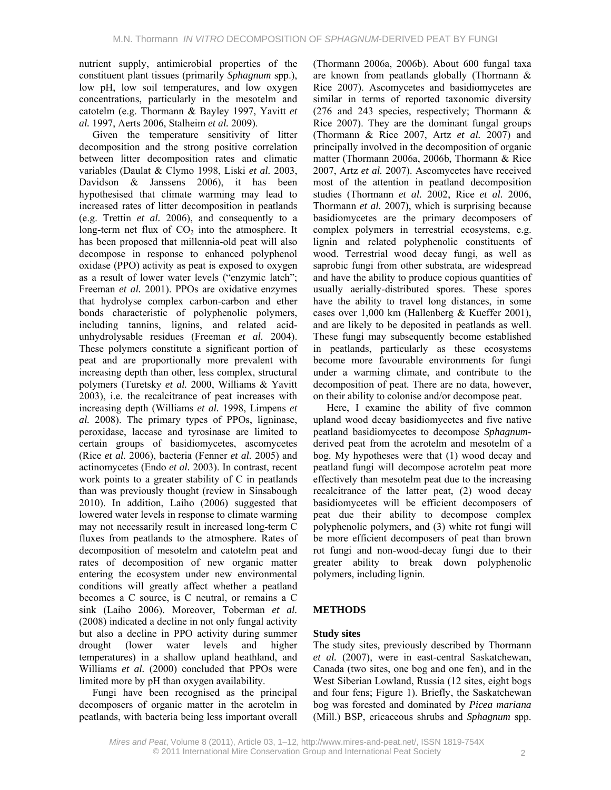nutrient supply, antimicrobial properties of the constituent plant tissues (primarily *Sphagnum* spp.), low pH, low soil temperatures, and low oxygen concentrations, particularly in the mesotelm and catotelm (e.g. Thormann & Bayley 1997, Yavitt *et al.* 1997, Aerts 2006, Stalheim *et al.* 2009).

Given the temperature sensitivity of litter decomposition and the strong positive correlation between litter decomposition rates and climatic variables (Daulat & Clymo 1998, Liski *et al.* 2003, Davidson & Janssens 2006), it has been hypothesised that climate warming may lead to increased rates of litter decomposition in peatlands (e.g. Trettin *et al.* 2006), and consequently to a long-term net flux of  $CO<sub>2</sub>$  into the atmosphere. It has been proposed that millennia-old peat will also decompose in response to enhanced polyphenol oxidase (PPO) activity as peat is exposed to oxygen as a result of lower water levels ("enzymic latch"; Freeman *et al.* 2001). PPOs are oxidative enzymes that hydrolyse complex carbon-carbon and ether bonds characteristic of polyphenolic polymers, including tannins, lignins, and related acidunhydrolysable residues (Freeman *et al.* 2004). These polymers constitute a significant portion of peat and are proportionally more prevalent with increasing depth than other, less complex, structural polymers (Turetsky *et al.* 2000, Williams & Yavitt 2003), i.e. the recalcitrance of peat increases with increasing depth (Williams *et al.* 1998, Limpens *et al.* 2008). The primary types of PPOs, ligninase, peroxidase, laccase and tyrosinase are limited to certain groups of basidiomycetes, ascomycetes (Rice *et al.* 2006), bacteria (Fenner *et al.* 2005) and actinomycetes (Endo *et al.* 2003). In contrast, recent work points to a greater stability of C in peatlands than was previously thought (review in Sinsabough 2010). In addition, Laiho (2006) suggested that lowered water levels in response to climate warming may not necessarily result in increased long-term C fluxes from peatlands to the atmosphere. Rates of decomposition of mesotelm and catotelm peat and rates of decomposition of new organic matter entering the ecosystem under new environmental conditions will greatly affect whether a peatland becomes a C source, is C neutral, or remains a C sink (Laiho 2006). Moreover, Toberman *et al.* (2008) indicated a decline in not only fungal activity but also a decline in PPO activity during summer drought (lower water levels and higher temperatures) in a shallow upland heathland, and Williams *et al.* (2000) concluded that PPOs were limited more by pH than oxygen availability.

Fungi have been recognised as the principal decomposers of organic matter in the acrotelm in peatlands, with bacteria being less important overall (Thormann 2006a, 2006b). About 600 fungal taxa are known from peatlands globally (Thormann & Rice 2007). Ascomycetes and basidiomycetes are similar in terms of reported taxonomic diversity (276 and 243 species, respectively; Thormann & Rice 2007). They are the dominant fungal groups (Thormann & Rice 2007, Artz *et al.* 2007) and principally involved in the decomposition of organic matter (Thormann 2006a, 2006b, Thormann & Rice 2007, Artz *et al.* 2007). Ascomycetes have received most of the attention in peatland decomposition studies (Thormann *et al.* 2002, Rice *et al.* 2006, Thormann *et al.* 2007), which is surprising because basidiomycetes are the primary decomposers of complex polymers in terrestrial ecosystems, e.g. lignin and related polyphenolic constituents of wood. Terrestrial wood decay fungi, as well as saprobic fungi from other substrata, are widespread and have the ability to produce copious quantities of usually aerially-distributed spores. These spores have the ability to travel long distances, in some cases over 1,000 km (Hallenberg & Kueffer 2001), and are likely to be deposited in peatlands as well. These fungi may subsequently become established in peatlands, particularly as these ecosystems become more favourable environments for fungi under a warming climate, and contribute to the decomposition of peat. There are no data, however, on their ability to colonise and/or decompose peat.

Here, I examine the ability of five common upland wood decay basidiomycetes and five native peatland basidiomycetes to decompose *Sphagnum*derived peat from the acrotelm and mesotelm of a bog. My hypotheses were that (1) wood decay and peatland fungi will decompose acrotelm peat more effectively than mesotelm peat due to the increasing recalcitrance of the latter peat, (2) wood decay basidiomycetes will be efficient decomposers of peat due their ability to decompose complex polyphenolic polymers, and (3) white rot fungi will be more efficient decomposers of peat than brown rot fungi and non-wood-decay fungi due to their greater ability to break down polyphenolic polymers, including lignin.

## **METHODS**

## **Study sites**

The study sites, previously described by Thormann *et al.* (2007), were in east-central Saskatchewan, Canada (two sites, one bog and one fen), and in the West Siberian Lowland, Russia (12 sites, eight bogs and four fens; Figure 1). Briefly, the Saskatchewan bog was forested and dominated by *Picea mariana* (Mill.) BSP, ericaceous shrubs and *Sphagnum* spp.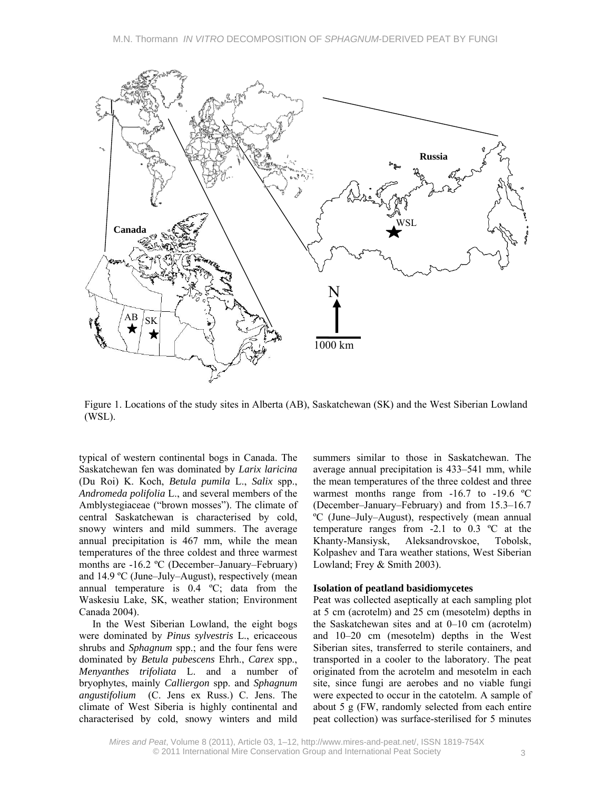

Figure 1. Locations of the study sites in Alberta (AB), Saskatchewan (SK) and the West Siberian Lowland (WSL).

typical of western continental bogs in Canada. The Saskatchewan fen was dominated by *Larix laricina* (Du Roi) K. Koch, *Betula pumila* L., *Salix* spp., *Andromeda polifolia* L., and several members of the Amblystegiaceae ("brown mosses"). The climate of central Saskatchewan is characterised by cold, snowy winters and mild summers. The average annual precipitation is 467 mm, while the mean temperatures of the three coldest and three warmest months are -16.2 ºC (December–January–February) and 14.9 ºC (June–July–August), respectively (mean annual temperature is 0.4 ºC; data from the Waskesiu Lake, SK, weather station; Environment Canada 2004).

In the West Siberian Lowland, the eight bogs were dominated by *Pinus sylvestris* L., ericaceous shrubs and *Sphagnum* spp.; and the four fens were dominated by *Betula pubescens* Ehrh., *Carex* spp., *Menyanthes trifoliata* L. and a number of bryophytes, mainly *Calliergon* spp. and *Sphagnum angustifolium* (C. Jens ex Russ.) C. Jens. The climate of West Siberia is highly continental and characterised by cold, snowy winters and mild summers similar to those in Saskatchewan. The average annual precipitation is 433–541 mm, while the mean temperatures of the three coldest and three warmest months range from  $-16.7$  to  $-19.6$  °C (December–January–February) and from 15.3–16.7 ºC (June–July–August), respectively (mean annual temperature ranges from -2.1 to 0.3 ºC at the Khanty-Mansiysk, Aleksandrovskoe, Tobolsk, Kolpashev and Tara weather stations, West Siberian Lowland; Frey & Smith 2003).

#### **Isolation of peatland basidiomycetes**

Peat was collected aseptically at each sampling plot at 5 cm (acrotelm) and 25 cm (mesotelm) depths in the Saskatchewan sites and at 0–10 cm (acrotelm) and 10–20 cm (mesotelm) depths in the West Siberian sites, transferred to sterile containers, and transported in a cooler to the laboratory. The peat originated from the acrotelm and mesotelm in each site, since fungi are aerobes and no viable fungi were expected to occur in the catotelm. A sample of about 5 g (FW, randomly selected from each entire peat collection) was surface-sterilised for 5 minutes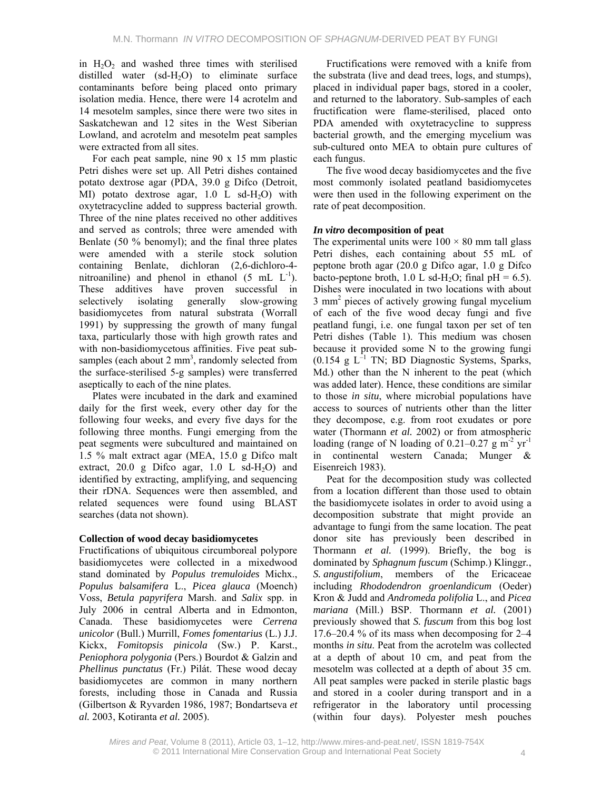in  $H_2O_2$  and washed three times with sterilised distilled water  $(sd-H<sub>2</sub>O)$  to eliminate surface contaminants before being placed onto primary isolation media. Hence, there were 14 acrotelm and 14 mesotelm samples, since there were two sites in Saskatchewan and 12 sites in the West Siberian Lowland, and acrotelm and mesotelm peat samples were extracted from all sites.

For each peat sample, nine 90 x 15 mm plastic Petri dishes were set up. All Petri dishes contained potato dextrose agar (PDA, 39.0 g Difco (Detroit, MI) potato dextrose agar,  $1.0$  L sd-H<sub>2</sub>O) with oxytetracycline added to suppress bacterial growth. Three of the nine plates received no other additives and served as controls; three were amended with Benlate (50 % benomyl); and the final three plates were amended with a sterile stock solution containing Benlate, dichloran (2,6-dichloro-4 nitroaniline) and phenol in ethanol  $(5 \text{ mL } L^{-1})$ . These additives have proven successful in selectively isolating generally slow-growing basidiomycetes from natural substrata (Worrall 1991) by suppressing the growth of many fungal taxa, particularly those with high growth rates and with non-basidiomycetous affinities. Five peat subsamples (each about  $2 \text{ mm}^3$ , randomly selected from the surface-sterilised 5-g samples) were transferred aseptically to each of the nine plates.

Plates were incubated in the dark and examined daily for the first week, every other day for the following four weeks, and every five days for the following three months. Fungi emerging from the peat segments were subcultured and maintained on 1.5 % malt extract agar (MEA, 15.0 g Difco malt extract,  $20.0$  g Difco agar,  $1.0$  L sd-H<sub>2</sub>O) and identified by extracting, amplifying, and sequencing their rDNA. Sequences were then assembled, and related sequences were found using BLAST searches (data not shown).

## **Collection of wood decay basidiomycetes**

Fructifications of ubiquitous circumboreal polypore basidiomycetes were collected in a mixedwood stand dominated by *Populus tremuloides* Michx., *Populus balsamifera* L., *Picea glauca* (Moench) Voss, *Betula papyrifera* Marsh. and *Salix* spp. in July 2006 in central Alberta and in Edmonton, Canada. These basidiomycetes were *Cerrena unicolor* (Bull.) Murrill, *Fomes fomentarius* (L.) J.J. Kickx, *Fomitopsis pinicola* (Sw.) P. Karst., *Peniophora polygonia* (Pers.) Bourdot & Galzin and *Phellinus punctatus* (Fr.) Pilát. These wood decay basidiomycetes are common in many northern forests, including those in Canada and Russia (Gilbertson & Ryvarden 1986, 1987; Bondartseva *et al.* 2003, Kotiranta *et al.* 2005).

Fructifications were removed with a knife from the substrata (live and dead trees, logs, and stumps), placed in individual paper bags, stored in a cooler, and returned to the laboratory. Sub-samples of each fructification were flame-sterilised, placed onto PDA amended with oxytetracycline to suppress bacterial growth, and the emerging mycelium was sub-cultured onto MEA to obtain pure cultures of each fungus.

The five wood decay basidiomycetes and the five most commonly isolated peatland basidiomycetes were then used in the following experiment on the rate of peat decomposition.

## *In vitro* **decomposition of peat**

The experimental units were  $100 \times 80$  mm tall glass Petri dishes, each containing about 55 mL of peptone broth agar (20.0 g Difco agar, 1.0 g Difco bacto-peptone broth, 1.0 L sd-H<sub>2</sub>O; final  $pH = 6.5$ ). Dishes were inoculated in two locations with about 3 mm<sup>2</sup> pieces of actively growing fungal mycelium of each of the five wood decay fungi and five peatland fungi, i.e. one fungal taxon per set of ten Petri dishes (Table 1). This medium was chosen because it provided some N to the growing fungi  $(0.154 \text{ g } L^{-1} \text{ TN}; \text{ BD Diagnostic Systems}, \text{Sparks},$ Md.) other than the N inherent to the peat (which was added later). Hence, these conditions are similar to those *in situ*, where microbial populations have access to sources of nutrients other than the litter they decompose, e.g. from root exudates or pore water (Thormann *et al.* 2002) or from atmospheric loading (range of N loading of 0.21–0.27 g  $m<sup>-2</sup>$  yr<sup>-1</sup> in continental western Canada; Munger & Eisenreich 1983).

Peat for the decomposition study was collected from a location different than those used to obtain the basidiomycete isolates in order to avoid using a decomposition substrate that might provide an advantage to fungi from the same location. The peat donor site has previously been described in Thormann *et al.* (1999). Briefly, the bog is dominated by *Sphagnum fuscum* (Schimp.) Klinggr*.*, *S. angustifolium*, members of the Ericaceae including *Rhododendron groenlandicum* (Oeder) Kron & Judd and *Andromeda polifolia* L., and *Picea mariana* (Mill.) BSP. Thormann *et al.* (2001) previously showed that *S. fuscum* from this bog lost 17.6–20.4 % of its mass when decomposing for 2–4 months *in situ*. Peat from the acrotelm was collected at a depth of about 10 cm, and peat from the mesotelm was collected at a depth of about 35 cm. All peat samples were packed in sterile plastic bags and stored in a cooler during transport and in a refrigerator in the laboratory until processing (within four days). Polyester mesh pouches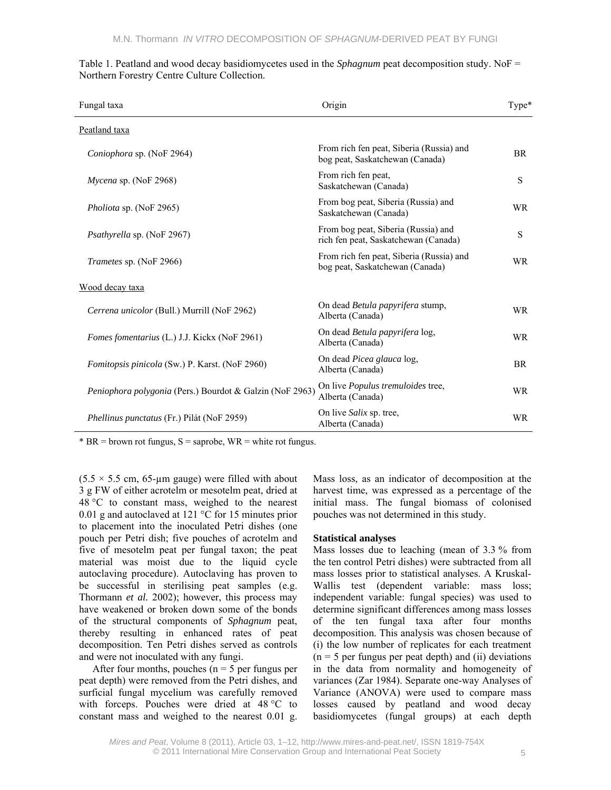| Fungal taxa                                              | Origin                                                                      | Type*     |
|----------------------------------------------------------|-----------------------------------------------------------------------------|-----------|
| Peatland taxa                                            |                                                                             |           |
| Coniophora sp. (NoF 2964)                                | From rich fen peat, Siberia (Russia) and<br>bog peat, Saskatchewan (Canada) | <b>BR</b> |
| $Mycena$ sp. (NoF 2968)                                  | From rich fen peat,<br>Saskatchewan (Canada)                                | S         |
| <i>Pholiota sp.</i> (NoF 2965)                           | From bog peat, Siberia (Russia) and<br>Saskatchewan (Canada)                | <b>WR</b> |
| Psathyrella sp. (NoF 2967)                               | From bog peat, Siberia (Russia) and<br>rich fen peat, Saskatchewan (Canada) | S         |
| Trametes sp. (NoF 2966)                                  | From rich fen peat, Siberia (Russia) and<br>bog peat, Saskatchewan (Canada) | <b>WR</b> |
| Wood decay taxa                                          |                                                                             |           |
| Cerrena unicolor (Bull.) Murrill (NoF 2962)              | On dead Betula papyrifera stump,<br>Alberta (Canada)                        | <b>WR</b> |
| Fomes fomentarius (L.) J.J. Kickx (NoF 2961)             | On dead <i>Betula papyrifera</i> log,<br>Alberta (Canada)                   | <b>WR</b> |
| Fomitopsis pinicola (Sw.) P. Karst. (NoF 2960)           | On dead Picea glauca log,<br>Alberta (Canada)                               | <b>BR</b> |
| Peniophora polygonia (Pers.) Bourdot & Galzin (NoF 2963) | On live <i>Populus tremuloides</i> tree,<br>Alberta (Canada)                | <b>WR</b> |
| <i>Phellinus punctatus</i> (Fr.) Pilát (NoF 2959)        | On live <i>Salix</i> sp. tree,<br>Alberta (Canada)                          | <b>WR</b> |

Table 1. Peatland and wood decay basidiomycetes used in the *Sphagnum* peat decomposition study. NoF = Northern Forestry Centre Culture Collection.

\*  $BR =$  brown rot fungus,  $S =$  saprobe,  $WR =$  white rot fungus.

 $(5.5 \times 5.5 \text{ cm}, 65$ -um gauge) were filled with about 3 g FW of either acrotelm or mesotelm peat, dried at 48 °C to constant mass, weighed to the nearest 0.01 g and autoclaved at 121 °C for 15 minutes prior to placement into the inoculated Petri dishes (one pouch per Petri dish; five pouches of acrotelm and five of mesotelm peat per fungal taxon; the peat material was moist due to the liquid cycle autoclaving procedure). Autoclaving has proven to be successful in sterilising peat samples (e.g. Thormann *et al.* 2002); however, this process may have weakened or broken down some of the bonds of the structural components of *Sphagnum* peat, thereby resulting in enhanced rates of peat decomposition. Ten Petri dishes served as controls and were not inoculated with any fungi.

After four months, pouches ( $n = 5$  per fungus per peat depth) were removed from the Petri dishes, and surficial fungal mycelium was carefully removed with forceps. Pouches were dried at 48 °C to constant mass and weighed to the nearest 0.01 g.

Mass loss, as an indicator of decomposition at the harvest time, was expressed as a percentage of the initial mass. The fungal biomass of colonised pouches was not determined in this study.

#### **Statistical analyses**

Mass losses due to leaching (mean of 3.3 % from the ten control Petri dishes) were subtracted from all mass losses prior to statistical analyses. A Kruskal-Wallis test (dependent variable: mass loss; independent variable: fungal species) was used to determine significant differences among mass losses of the ten fungal taxa after four months decomposition. This analysis was chosen because of (i) the low number of replicates for each treatment  $(n = 5$  per fungus per peat depth) and (ii) deviations in the data from normality and homogeneity of variances (Zar 1984). Separate one-way Analyses of Variance (ANOVA) were used to compare mass losses caused by peatland and wood decay basidiomycetes (fungal groups) at each depth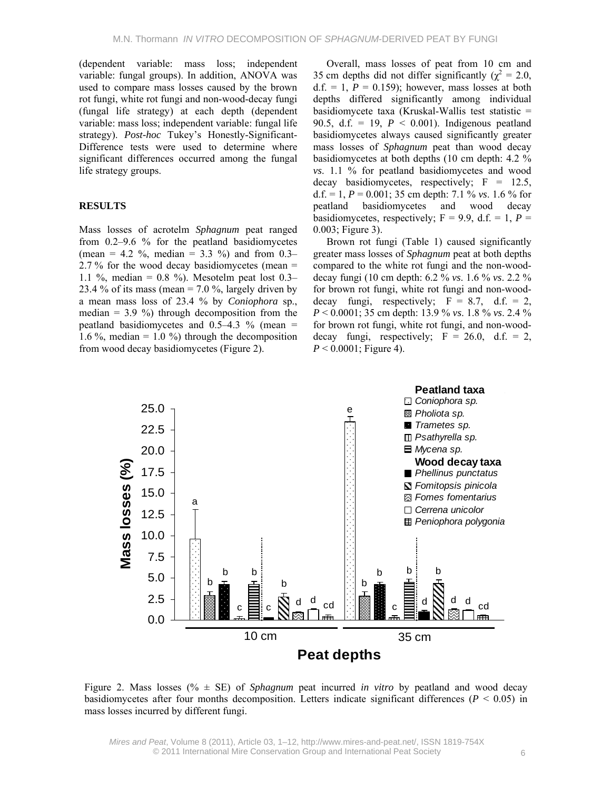(dependent variable: mass loss; independent variable: fungal groups). In addition, ANOVA was used to compare mass losses caused by the brown rot fungi, white rot fungi and non-wood-decay fungi (fungal life strategy) at each depth (dependent variable: mass loss; independent variable: fungal life strategy). *Post-hoc* Tukey's Honestly-Significant-Difference tests were used to determine where significant differences occurred among the fungal life strategy groups.

### **RESULTS**

Mass losses of acrotelm *Sphagnum* peat ranged from 0.2–9.6 % for the peatland basidiomycetes (mean = 4.2 %, median = 3.3 %) and from 0.3– 2.7 % for the wood decay basidiomycetes (mean  $=$ 1.1 %, median =  $0.8$  %). Mesotelm peat lost 0.3– 23.4 % of its mass (mean =  $7.0$  %, largely driven by a mean mass loss of 23.4 % by *Coniophora* sp., median  $= 3.9 \%$ ) through decomposition from the peatland basidiomycetes and  $0.5-4.3$  % (mean = 1.6 %, median = 1.0 %) through the decomposition from wood decay basidiomycetes (Figure 2).

Overall, mass losses of peat from 10 cm and 35 cm depths did not differ significantly ( $\chi^2 = 2.0$ ,  $d.f. = 1, P = 0.159$ ; however, mass losses at both depths differed significantly among individual basidiomycete taxa (Kruskal-Wallis test statistic = 90.5, d.f. = 19,  $P < 0.001$ ). Indigenous peatland basidiomycetes always caused significantly greater mass losses of *Sphagnum* peat than wood decay basidiomycetes at both depths (10 cm depth: 4.2 % *vs*. 1.1 % for peatland basidiomycetes and wood decay basidiomycetes, respectively;  $F = 12.5$ , d.f. = 1,  $P = 0.001$ ; 35 cm depth: 7.1 % *vs*. 1.6 % for peatland basidiomycetes and wood decay basidiomycetes, respectively;  $F = 9.9$ , d.f. = 1,  $P =$ 0.003; Figure 3).

Brown rot fungi (Table 1) caused significantly greater mass losses of *Sphagnum* peat at both depths compared to the white rot fungi and the non-wooddecay fungi (10 cm depth: 6.2 % *vs*. 1.6 % *vs*. 2.2 % for brown rot fungi, white rot fungi and non-wooddecay fungi, respectively;  $F = 8.7$ , d.f. = 2, *P* < 0.0001; 35 cm depth: 13.9 % *vs*. 1.8 % *vs*. 2.4 % for brown rot fungi, white rot fungi, and non-wooddecay fungi, respectively;  $F = 26.0$ , d.f. = 2,  $P < 0.0001$ ; Figure 4).



Figure 2. Mass losses (% ± SE) of *Sphagnum* peat incurred *in vitro* by peatland and wood decay basidiomycetes after four months decomposition. Letters indicate significant differences ( $P < 0.05$ ) in mass losses incurred by different fungi.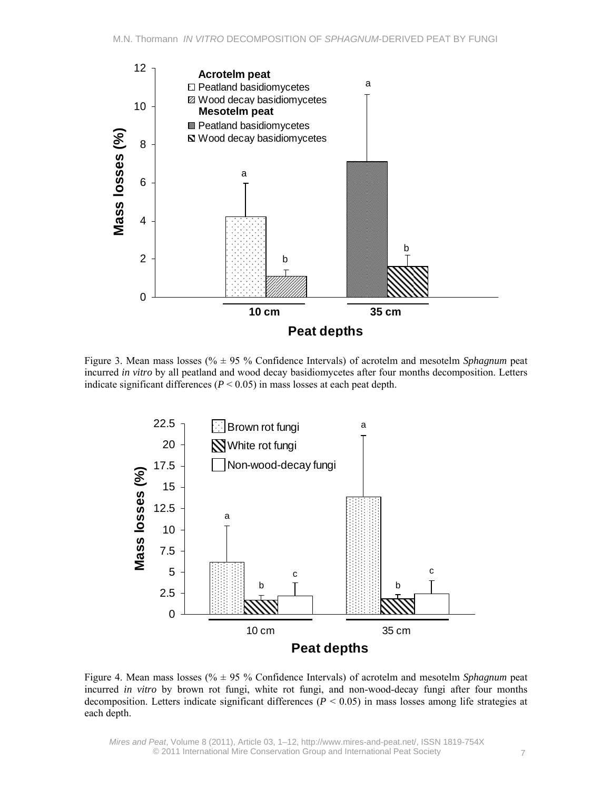

Figure 3. Mean mass losses (% ± 95 % Confidence Intervals) of acrotelm and mesotelm *Sphagnum* peat incurred *in vitro* by all peatland and wood decay basidiomycetes after four months decomposition. Letters indicate significant differences ( $P < 0.05$ ) in mass losses at each peat depth.



Figure 4. Mean mass losses (% ± 95 % Confidence Intervals) of acrotelm and mesotelm *Sphagnum* peat incurred *in vitro* by brown rot fungi, white rot fungi, and non-wood-decay fungi after four months decomposition. Letters indicate significant differences ( $P < 0.05$ ) in mass losses among life strategies at each depth.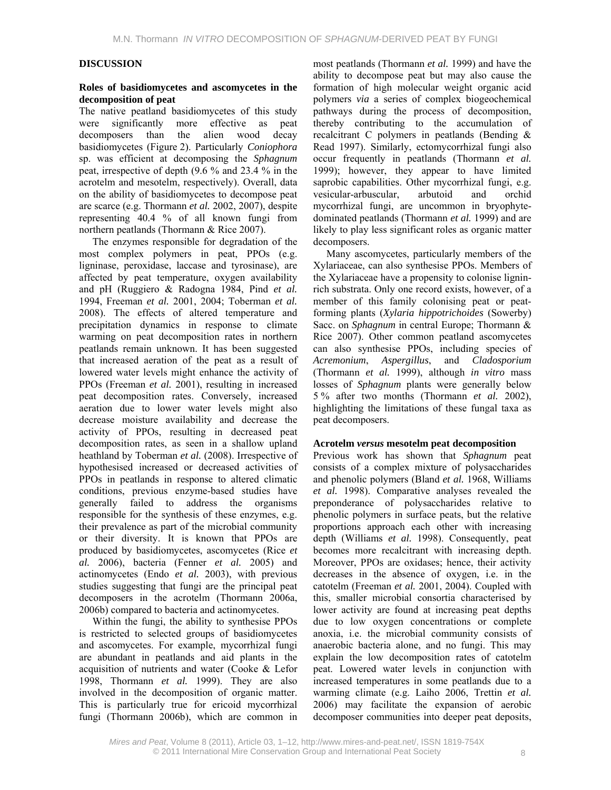### **DISCUSSION**

#### **Roles of basidiomycetes and ascomycetes in the decomposition of peat**

The native peatland basidiomycetes of this study were significantly more effective as peat decomposers than the alien wood decay basidiomycetes (Figure 2). Particularly *Coniophora* sp. was efficient at decomposing the *Sphagnum* peat, irrespective of depth (9.6 % and 23.4 % in the acrotelm and mesotelm, respectively). Overall, data on the ability of basidiomycetes to decompose peat are scarce (e.g. Thormann *et al.* 2002, 2007), despite representing 40.4 % of all known fungi from northern peatlands (Thormann & Rice 2007).

The enzymes responsible for degradation of the most complex polymers in peat, PPOs (e.g. ligninase, peroxidase, laccase and tyrosinase), are affected by peat temperature, oxygen availability and pH (Ruggiero & Radogna 1984, Pind *et al.* 1994, Freeman *et al.* 2001, 2004; Toberman *et al.* 2008). The effects of altered temperature and precipitation dynamics in response to climate warming on peat decomposition rates in northern peatlands remain unknown. It has been suggested that increased aeration of the peat as a result of lowered water levels might enhance the activity of PPOs (Freeman *et al.* 2001), resulting in increased peat decomposition rates. Conversely, increased aeration due to lower water levels might also decrease moisture availability and decrease the activity of PPOs, resulting in decreased peat decomposition rates, as seen in a shallow upland heathland by Toberman *et al.* (2008). Irrespective of hypothesised increased or decreased activities of PPOs in peatlands in response to altered climatic conditions, previous enzyme-based studies have generally failed to address the organisms responsible for the synthesis of these enzymes, e.g. their prevalence as part of the microbial community or their diversity. It is known that PPOs are produced by basidiomycetes, ascomycetes (Rice *et al.* 2006), bacteria (Fenner *et al.* 2005) and actinomycetes (Endo *et al.* 2003), with previous studies suggesting that fungi are the principal peat decomposers in the acrotelm (Thormann 2006a, 2006b) compared to bacteria and actinomycetes.

Within the fungi, the ability to synthesise PPOs is restricted to selected groups of basidiomycetes and ascomycetes. For example, mycorrhizal fungi are abundant in peatlands and aid plants in the acquisition of nutrients and water (Cooke & Lefor 1998, Thormann *et al.* 1999). They are also involved in the decomposition of organic matter. This is particularly true for ericoid mycorrhizal fungi (Thormann 2006b), which are common in most peatlands (Thormann *et al.* 1999) and have the ability to decompose peat but may also cause the formation of high molecular weight organic acid polymers *via* a series of complex biogeochemical pathways during the process of decomposition, thereby contributing to the accumulation of recalcitrant C polymers in peatlands (Bending & Read 1997). Similarly, ectomycorrhizal fungi also occur frequently in peatlands (Thormann *et al.* 1999); however, they appear to have limited saprobic capabilities. Other mycorrhizal fungi, e.g. vesicular-arbuscular, arbutoid and orchid mycorrhizal fungi, are uncommon in bryophytedominated peatlands (Thormann *et al.* 1999) and are likely to play less significant roles as organic matter decomposers.

Many ascomycetes, particularly members of the Xylariaceae, can also synthesise PPOs. Members of the Xylariaceae have a propensity to colonise ligninrich substrata. Only one record exists, however, of a member of this family colonising peat or peatforming plants (*Xylaria hippotrichoides* (Sowerby) Sacc. on *Sphagnum* in central Europe; Thormann & Rice 2007). Other common peatland ascomycetes can also synthesise PPOs, including species of *Acremonium*, *Aspergillus*, and *Cladosporium* (Thormann *et al.* 1999), although *in vitro* mass losses of *Sphagnum* plants were generally below 5 % after two months (Thormann *et al.* 2002), highlighting the limitations of these fungal taxa as peat decomposers.

#### **Acrotelm** *versus* **mesotelm peat decomposition**

Previous work has shown that *Sphagnum* peat consists of a complex mixture of polysaccharides and phenolic polymers (Bland *et al.* 1968, Williams *et al.* 1998). Comparative analyses revealed the preponderance of polysaccharides relative to phenolic polymers in surface peats, but the relative proportions approach each other with increasing depth (Williams *et al.* 1998). Consequently, peat becomes more recalcitrant with increasing depth. Moreover, PPOs are oxidases; hence, their activity decreases in the absence of oxygen, i.e. in the catotelm (Freeman *et al.* 2001, 2004). Coupled with this, smaller microbial consortia characterised by lower activity are found at increasing peat depths due to low oxygen concentrations or complete anoxia, i.e. the microbial community consists of anaerobic bacteria alone, and no fungi. This may explain the low decomposition rates of catotelm peat. Lowered water levels in conjunction with increased temperatures in some peatlands due to a warming climate (e.g. Laiho 2006, Trettin *et al.* 2006) may facilitate the expansion of aerobic decomposer communities into deeper peat deposits,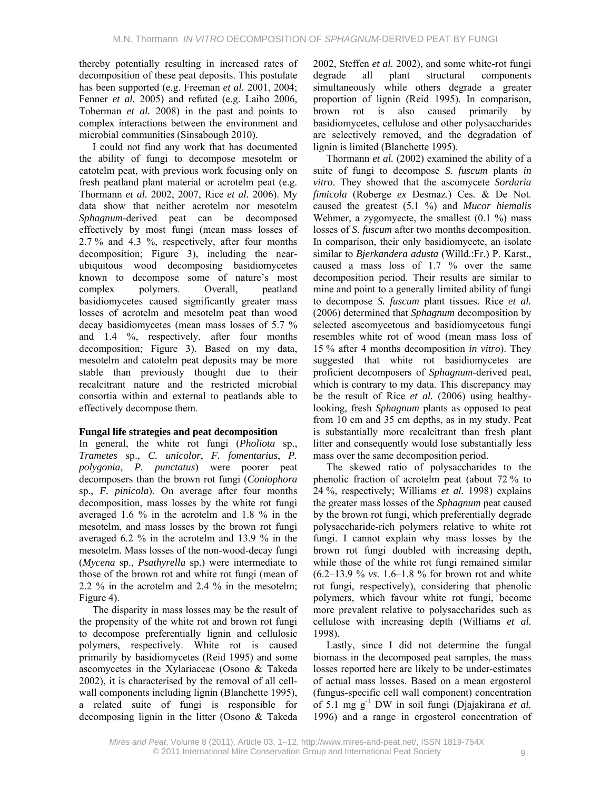thereby potentially resulting in increased rates of decomposition of these peat deposits. This postulate has been supported (e.g. Freeman *et al.* 2001, 2004; Fenner *et al.* 2005) and refuted (e.g. Laiho 2006, Toberman *et al.* 2008) in the past and points to complex interactions between the environment and microbial communities (Sinsabough 2010).

I could not find any work that has documented the ability of fungi to decompose mesotelm or catotelm peat, with previous work focusing only on fresh peatland plant material or acrotelm peat (e.g. Thormann *et al.* 2002, 2007, Rice *et al.* 2006). My data show that neither acrotelm nor mesotelm *Sphagnum*-derived peat can be decomposed effectively by most fungi (mean mass losses of 2.7 % and 4.3 %, respectively, after four months decomposition; Figure 3), including the nearubiquitous wood decomposing basidiomycetes known to decompose some of nature's most complex polymers. Overall, peatland basidiomycetes caused significantly greater mass losses of acrotelm and mesotelm peat than wood decay basidiomycetes (mean mass losses of 5.7 % and 1.4 %, respectively, after four months decomposition; Figure 3). Based on my data, mesotelm and catotelm peat deposits may be more stable than previously thought due to their recalcitrant nature and the restricted microbial consortia within and external to peatlands able to effectively decompose them.

## **Fungal life strategies and peat decomposition**

In general, the white rot fungi (*Pholiota* sp., *Trametes* sp., *C. unicolor*, *F. fomentarius*, *P. polygonia*, *P. punctatus*) were poorer peat decomposers than the brown rot fungi (*Coniophora* sp., *F. pinicola*). On average after four months decomposition, mass losses by the white rot fungi averaged 1.6 % in the acrotelm and 1.8 % in the mesotelm, and mass losses by the brown rot fungi averaged 6.2 % in the acrotelm and 13.9 % in the mesotelm. Mass losses of the non-wood-decay fungi (*Mycena* sp., *Psathyrella* sp.) were intermediate to those of the brown rot and white rot fungi (mean of 2.2 % in the acrotelm and 2.4 % in the mesotelm; Figure 4).

The disparity in mass losses may be the result of the propensity of the white rot and brown rot fungi to decompose preferentially lignin and cellulosic polymers, respectively. White rot is caused primarily by basidiomycetes (Reid 1995) and some ascomycetes in the Xylariaceae (Osono & Takeda 2002), it is characterised by the removal of all cellwall components including lignin (Blanchette 1995), a related suite of fungi is responsible for decomposing lignin in the litter (Osono & Takeda

2002, Steffen *et al.* 2002), and some white-rot fungi degrade all plant structural components simultaneously while others degrade a greater proportion of lignin (Reid 1995). In comparison, brown rot is also caused primarily by basidiomycetes, cellulose and other polysaccharides are selectively removed, and the degradation of lignin is limited (Blanchette 1995).

Thormann *et al.* (2002) examined the ability of a suite of fungi to decompose *S. fuscum* plants *in vitro*. They showed that the ascomycete *Sordaria fimicola* (Roberge *ex* Desmaz.) Ces. & De Not. caused the greatest (5.1 %) and *Mucor hiemalis* Wehmer, a zygomyecte, the smallest  $(0.1 \%)$  mass losses of *S. fuscum* after two months decomposition. In comparison, their only basidiomycete, an isolate similar to *Bjerkandera adusta* (Willd.:Fr.) P. Karst., caused a mass loss of 1.7 % over the same decomposition period. Their results are similar to mine and point to a generally limited ability of fungi to decompose *S. fuscum* plant tissues. Rice *et al.* (2006) determined that *Sphagnum* decomposition by selected ascomycetous and basidiomycetous fungi resembles white rot of wood (mean mass loss of 15 % after 4 months decomposition *in vitro*). They suggested that white rot basidiomycetes are proficient decomposers of *Sphagnum*-derived peat, which is contrary to my data. This discrepancy may be the result of Rice *et al.* (2006) using healthylooking, fresh *Sphagnum* plants as opposed to peat from 10 cm and 35 cm depths, as in my study. Peat is substantially more recalcitrant than fresh plant litter and consequently would lose substantially less mass over the same decomposition period.

The skewed ratio of polysaccharides to the phenolic fraction of acrotelm peat (about 72 % to 24 %, respectively; Williams *et al.* 1998) explains the greater mass losses of the *Sphagnum* peat caused by the brown rot fungi, which preferentially degrade polysaccharide-rich polymers relative to white rot fungi. I cannot explain why mass losses by the brown rot fungi doubled with increasing depth, while those of the white rot fungi remained similar (6.2–13.9 % *vs*. 1.6–1.8 % for brown rot and white rot fungi, respectively), considering that phenolic polymers, which favour white rot fungi, become more prevalent relative to polysaccharides such as cellulose with increasing depth (Williams *et al.* 1998).

Lastly, since I did not determine the fungal biomass in the decomposed peat samples, the mass losses reported here are likely to be under-estimates of actual mass losses. Based on a mean ergosterol (fungus-specific cell wall component) concentration of 5.1 mg g-1 DW in soil fungi (Djajakirana *et al.* 1996) and a range in ergosterol concentration of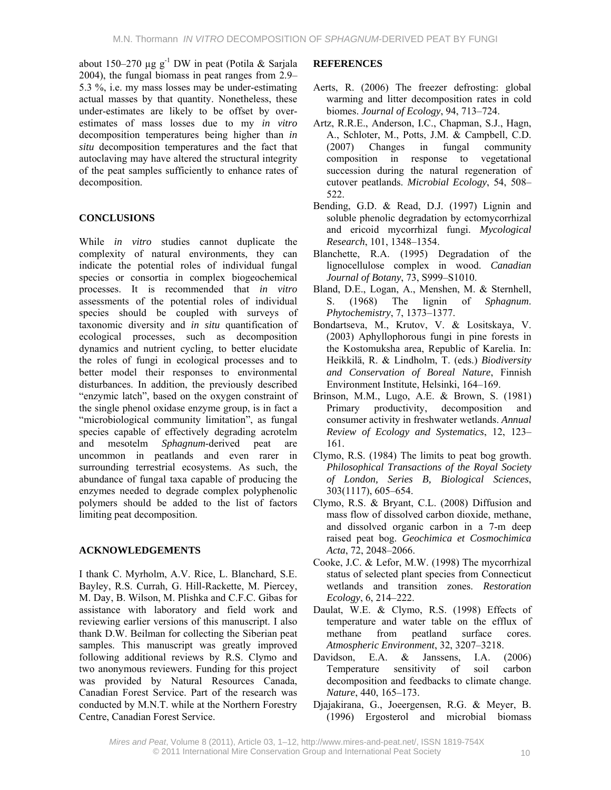about 150–270 µg g<sup>-1</sup> DW in peat (Potila & Sarjala 2004), the fungal biomass in peat ranges from 2.9– 5.3 %, i.e. my mass losses may be under-estimating actual masses by that quantity. Nonetheless, these under-estimates are likely to be offset by overestimates of mass losses due to my *in vitro* decomposition temperatures being higher than *in situ* decomposition temperatures and the fact that autoclaving may have altered the structural integrity of the peat samples sufficiently to enhance rates of decomposition.

## **CONCLUSIONS**

While *in vitro* studies cannot duplicate the complexity of natural environments, they can indicate the potential roles of individual fungal species or consortia in complex biogeochemical processes. It is recommended that *in vitro* assessments of the potential roles of individual species should be coupled with surveys of taxonomic diversity and *in situ* quantification of ecological processes, such as decomposition dynamics and nutrient cycling, to better elucidate the roles of fungi in ecological processes and to better model their responses to environmental disturbances. In addition, the previously described "enzymic latch", based on the oxygen constraint of the single phenol oxidase enzyme group, is in fact a "microbiological community limitation", as fungal species capable of effectively degrading acrotelm and mesotelm *Sphagnum*-derived peat are uncommon in peatlands and even rarer in surrounding terrestrial ecosystems. As such, the abundance of fungal taxa capable of producing the enzymes needed to degrade complex polyphenolic polymers should be added to the list of factors limiting peat decomposition.

## **ACKNOWLEDGEMENTS**

I thank C. Myrholm, A.V. Rice, L. Blanchard, S.E. Bayley, R.S. Currah, G. Hill-Rackette, M. Piercey, M. Day, B. Wilson, M. Plishka and C.F.C. Gibas for assistance with laboratory and field work and reviewing earlier versions of this manuscript. I also thank D.W. Beilman for collecting the Siberian peat samples. This manuscript was greatly improved following additional reviews by R.S. Clymo and two anonymous reviewers. Funding for this project was provided by Natural Resources Canada, Canadian Forest Service. Part of the research was conducted by M.N.T. while at the Northern Forestry Centre, Canadian Forest Service.

## **REFERENCES**

- Aerts, R. (2006) The freezer defrosting: global warming and litter decomposition rates in cold biomes. *Journal of Ecology*, 94, 713–724.
- Artz, R.R.E., Anderson, I.C., Chapman, S.J., Hagn, A., Schloter, M., Potts, J.M. & Campbell, C.D. (2007) Changes in fungal community composition in response to vegetational succession during the natural regeneration of cutover peatlands. *Microbial Ecology*, 54, 508– 522.
- Bending, G.D. & Read, D.J. (1997) Lignin and soluble phenolic degradation by ectomycorrhizal and ericoid mycorrhizal fungi. *Mycological Research*, 101, 1348–1354.
- Blanchette, R.A. (1995) Degradation of the lignocellulose complex in wood. *Canadian Journal of Botany*, 73, S999–S1010.
- Bland, D.E., Logan, A., Menshen, M. & Sternhell, S. (1968) The lignin of *Sphagnum*. *Phytochemistry*, 7, 1373–1377.
- Bondartseva, M., Krutov, V. & Lositskaya, V. (2003) Aphyllophorous fungi in pine forests in the Kostomuksha area, Republic of Karelia. In: Heikkilä, R. & Lindholm, T. (eds.) *Biodiversity and Conservation of Boreal Nature*, Finnish Environment Institute, Helsinki, 164–169.
- Brinson, M.M., Lugo, A.E. & Brown, S. (1981) Primary productivity, decomposition and consumer activity in freshwater wetlands. *Annual Review of Ecology and Systematics*, 12, 123– 161.
- Clymo, R.S. (1984) The limits to peat bog growth. *Philosophical Transactions of the Royal Society of London, Series B, Biological Sciences*, 303(1117), 605–654.
- Clymo, R.S. & Bryant, C.L. (2008) Diffusion and mass flow of dissolved carbon dioxide, methane, and dissolved organic carbon in a 7-m deep raised peat bog. *Geochimica et Cosmochimica Acta*, 72, 2048–2066.
- Cooke, J.C. & Lefor, M.W. (1998) The mycorrhizal status of selected plant species from Connecticut wetlands and transition zones. *Restoration Ecology*, 6, 214–222.
- Daulat, W.E. & Clymo, R.S. (1998) Effects of temperature and water table on the efflux of methane from peatland surface cores. *Atmospheric Environment*, 32, 3207–3218.
- Davidson, E.A. & Janssens, I.A. (2006) Temperature sensitivity of soil carbon decomposition and feedbacks to climate change. *Nature*, 440, 165–173.
- Djajakirana, G., Joeergensen, R.G. & Meyer, B. (1996) Ergosterol and microbial biomass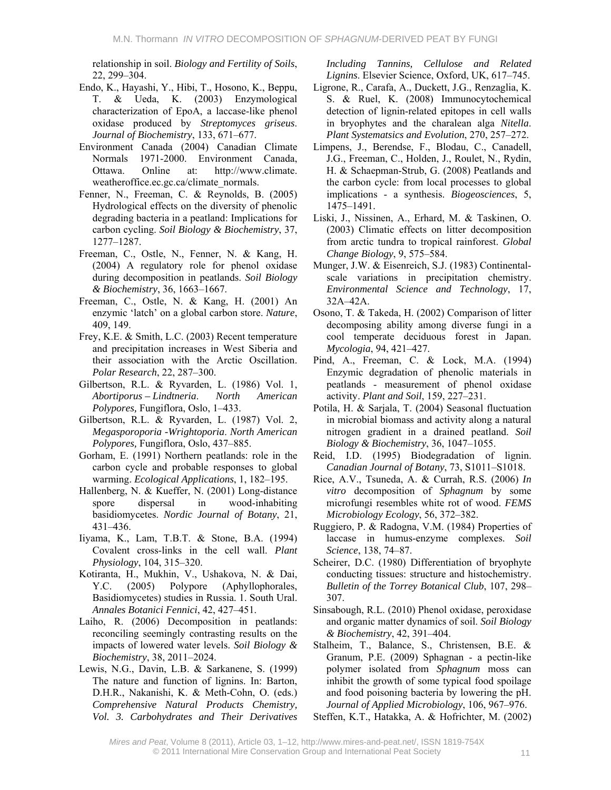relationship in soil. *Biology and Fertility of Soils*, 22, 299–304.

- Endo, K., Hayashi, Y., Hibi, T., Hosono, K., Beppu, T. & Ueda, K. (2003) Enzymological characterization of EpoA, a laccase-like phenol oxidase produced by *Streptomyces griseus*. *Journal of Biochemistry*, 133, 671–677.
- Environment Canada (2004) Canadian Climate Normals 1971-2000. Environment Canada, Ottawa. Online at: http://www.climate. weatheroffice.ec.gc.ca/climate\_normals.
- Fenner, N., Freeman, C. & Reynolds, B. (2005) Hydrological effects on the diversity of phenolic degrading bacteria in a peatland: Implications for carbon cycling. *Soil Biology & Biochemistry*, 37, 1277–1287.
- Freeman, C., Ostle, N., Fenner, N. & Kang, H. (2004) A regulatory role for phenol oxidase during decomposition in peatlands. *Soil Biology & Biochemistry*, 36, 1663–1667.
- Freeman, C., Ostle, N. & Kang, H. (2001) An enzymic 'latch' on a global carbon store. *Nature*, 409, 149.
- Frey, K.E. & Smith, L.C. (2003) Recent temperature and precipitation increases in West Siberia and their association with the Arctic Oscillation. *Polar Research*, 22, 287–300.
- Gilbertson, R.L. & Ryvarden, L. (1986) Vol. 1, *Abortiporus – Lindtneria*. *North American Polypores,* Fungiflora, Oslo, 1–433.
- Gilbertson, R.L. & Ryvarden, L. (1987) Vol. 2, *Megasporoporia -Wrightoporia*. *North American Polypores,* Fungiflora, Oslo, 437–885.
- Gorham, E. (1991) Northern peatlands: role in the carbon cycle and probable responses to global warming. *Ecological Applications*, 1, 182–195.
- Hallenberg, N. & Kueffer, N. (2001) Long-distance spore dispersal in wood-inhabiting basidiomycetes. *Nordic Journal of Botany*, 21, 431–436.
- Iiyama, K., Lam, T.B.T. & Stone, B.A. (1994) Covalent cross-links in the cell wall. *Plant Physiology*, 104, 315–320.
- Kotiranta, H., Mukhin, V., Ushakova, N. & Dai, Y.C. (2005) Polypore (Aphyllophorales, Basidiomycetes) studies in Russia. 1. South Ural. *Annales Botanici Fennici*, 42, 427–451.
- Laiho, R. (2006) Decomposition in peatlands: reconciling seemingly contrasting results on the impacts of lowered water levels. *Soil Biology & Biochemistry*, 38, 2011–2024.
- Lewis, N.G., Davin, L.B. & Sarkanene, S. (1999) The nature and function of lignins. In: Barton, D.H.R., Nakanishi, K. & Meth-Cohn, O. (eds.) *Comprehensive Natural Products Chemistry, Vol. 3. Carbohydrates and Their Derivatives*

*Including Tannins, Cellulose and Related Lignins*. Elsevier Science, Oxford, UK, 617–745.

- Ligrone, R., Carafa, A., Duckett, J.G., Renzaglia, K. S. & Ruel, K. (2008) Immunocytochemical detection of lignin-related epitopes in cell walls in bryophytes and the charalean alga *Nitella*. *Plant Systematsics and Evolution*, 270, 257–272.
- Limpens, J., Berendse, F., Blodau, C., Canadell, J.G., Freeman, C., Holden, J., Roulet, N., Rydin, H. & Schaepman-Strub, G. (2008) Peatlands and the carbon cycle: from local processes to global implications - a synthesis. *Biogeosciences*, 5, 1475–1491.
- Liski, J., Nissinen, A., Erhard, M. & Taskinen, O. (2003) Climatic effects on litter decomposition from arctic tundra to tropical rainforest. *Global Change Biology*, 9, 575–584.
- Munger, J.W. & Eisenreich, S.J. (1983) Continentalscale variations in precipitation chemistry. *Environmental Science and Technology*, 17, 32A–42A.
- Osono, T. & Takeda, H. (2002) Comparison of litter decomposing ability among diverse fungi in a cool temperate deciduous forest in Japan. *Mycologia*, 94, 421–427.
- Pind, A., Freeman, C. & Lock, M.A. (1994) Enzymic degradation of phenolic materials in peatlands - measurement of phenol oxidase activity. *Plant and Soil*, 159, 227–231.
- Potila, H. & Sarjala, T. (2004) Seasonal fluctuation in microbial biomass and activity along a natural nitrogen gradient in a drained peatland. *Soil Biology & Biochemistry*, 36, 1047–1055.
- Reid, I.D. (1995) Biodegradation of lignin. *Canadian Journal of Botany*, 73, S1011–S1018.
- Rice, A.V., Tsuneda, A. & Currah, R.S. (2006) *In vitro* decomposition of *Sphagnum* by some microfungi resembles white rot of wood. *FEMS Microbiology Ecology*, 56, 372–382.
- Ruggiero, P. & Radogna, V.M. (1984) Properties of laccase in humus-enzyme complexes. *Soil Science*, 138, 74–87.
- Scheirer, D.C. (1980) Differentiation of bryophyte conducting tissues: structure and histochemistry. *Bulletin of the Torrey Botanical Club*, 107, 298– 307.
- Sinsabough, R.L. (2010) Phenol oxidase, peroxidase and organic matter dynamics of soil. *Soil Biology & Biochemistry*, 42, 391–404.
- Stalheim, T., Balance, S., Christensen, B.E. & Granum, P.E. (2009) Sphagnan - a pectin-like polymer isolated from *Sphagnum* moss can inhibit the growth of some typical food spoilage and food poisoning bacteria by lowering the pH. *Journal of Applied Microbiology*, 106, 967–976.
- Steffen, K.T., Hatakka, A. & Hofrichter, M. (2002)